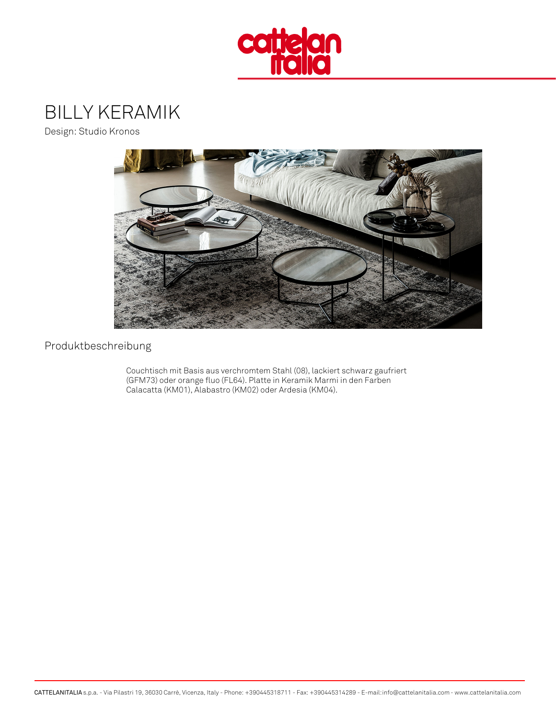### BILLY KERAMIK

Design: Studio Kronos

Produktbeschreibung

Couchtisch mit Basis aus verchromtem Stahl (08), lackiert schwarz gaufri (GFM73) oder orange fluo (FL64). Platte in Keramik Marmi in den Farben Calacatta (KM01), Alabastro (KM02) oder Ardesia (KM04).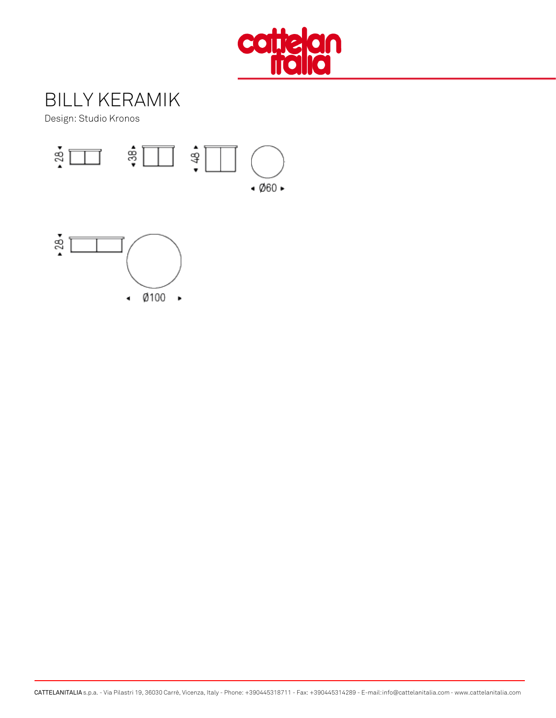# BILLY KERAMIK

Design: Studio Kronos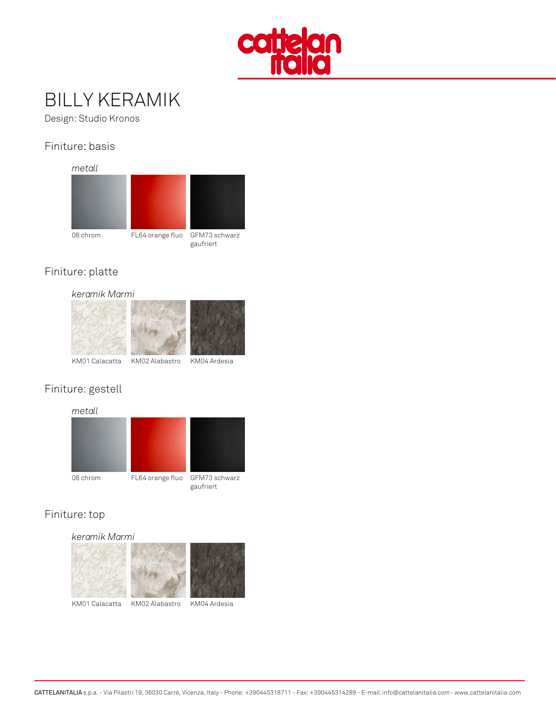## BILLY KERAMIK

Design: Studio Kronos

#### Finiture: basis

metall

08 chrom FL64 orange GFLMb73 schwarz gaufriert

#### Finiture: platte

keramik Marmi

KM01 CalacaKtMa02 AlabasKtMb04 Ardesia

#### Finiture: gestell

metall

08 chrom FL64 orange GFLMb73 schwarz gaufriert

Finiture: top

keramik Marmi

KM01 CalacaKMa02 AlabasKMb04 Ardesia